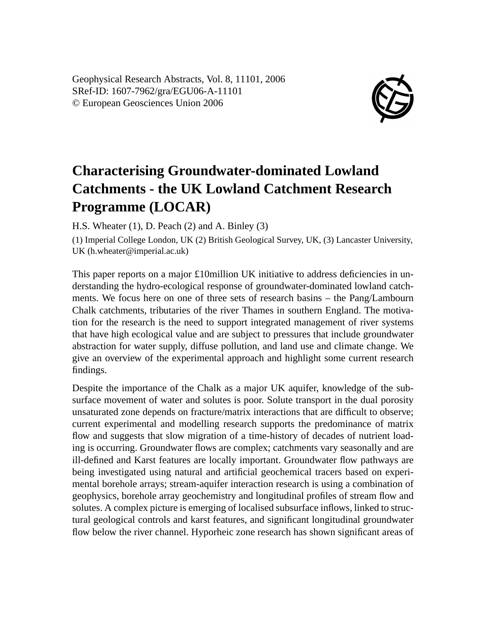Geophysical Research Abstracts, Vol. 8, 11101, 2006 SRef-ID: 1607-7962/gra/EGU06-A-11101 © European Geosciences Union 2006



## **Characterising Groundwater-dominated Lowland Catchments - the UK Lowland Catchment Research Programme (LOCAR)**

H.S. Wheater (1), D. Peach (2) and A. Binley (3)

(1) Imperial College London, UK (2) British Geological Survey, UK, (3) Lancaster University, UK (h.wheater@imperial.ac.uk)

This paper reports on a major £10million UK initiative to address deficiencies in understanding the hydro-ecological response of groundwater-dominated lowland catchments. We focus here on one of three sets of research basins – the Pang/Lambourn Chalk catchments, tributaries of the river Thames in southern England. The motivation for the research is the need to support integrated management of river systems that have high ecological value and are subject to pressures that include groundwater abstraction for water supply, diffuse pollution, and land use and climate change. We give an overview of the experimental approach and highlight some current research findings.

Despite the importance of the Chalk as a major UK aquifer, knowledge of the subsurface movement of water and solutes is poor. Solute transport in the dual porosity unsaturated zone depends on fracture/matrix interactions that are difficult to observe; current experimental and modelling research supports the predominance of matrix flow and suggests that slow migration of a time-history of decades of nutrient loading is occurring. Groundwater flows are complex; catchments vary seasonally and are ill-defined and Karst features are locally important. Groundwater flow pathways are being investigated using natural and artificial geochemical tracers based on experimental borehole arrays; stream-aquifer interaction research is using a combination of geophysics, borehole array geochemistry and longitudinal profiles of stream flow and solutes. A complex picture is emerging of localised subsurface inflows, linked to structural geological controls and karst features, and significant longitudinal groundwater flow below the river channel. Hyporheic zone research has shown significant areas of